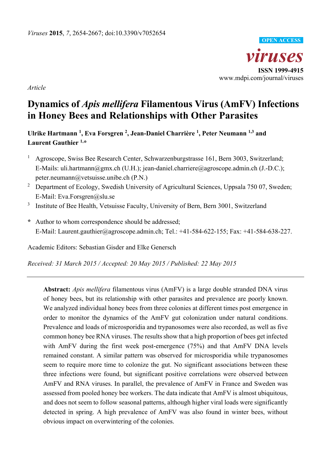

*Article* 

# **Dynamics of** *Apis mellifera* **Filamentous Virus (AmFV) Infections in Honey Bees and Relationships with Other Parasites**

Ulrike Hartmann<sup>1</sup>, Eva Forsgren<sup>2</sup>, Jean-Daniel Charrière<sup>1</sup>, Peter Neumann<sup>1,3</sup> and **Laurent Gauthier 1,\*** 

- 1 Agroscope, Swiss Bee Research Center, Schwarzenburgstrasse 161, Bern 3003, Switzerland; E-Mails: uli.hartmann@gmx.ch (U.H.); jean-daniel.charriere@agroscope.admin.ch (J.-D.C.); peter.neumann@vetsuisse.unibe.ch (P.N.)
- 2 Department of Ecology, Swedish University of Agricultural Sciences, Uppsala 750 07, Sweden; E-Mail: Eva.Forsgren@slu.se
- 3 Institute of Bee Health, Vetsuisse Faculty, University of Bern, Bern 3001, Switzerland
- **\*** Author to whom correspondence should be addressed; E-Mail: Laurent.gauthier@agroscope.admin.ch; Tel.: +41-584-622-155; Fax: +41-584-638-227.

Academic Editors: Sebastian Gisder and Elke Genersch

*Received: 31 March 2015 / Accepted: 20 May 2015 / Published: 22 May 2015* 

**Abstract:** *Apis mellifera* filamentous virus (AmFV) is a large double stranded DNA virus of honey bees, but its relationship with other parasites and prevalence are poorly known. We analyzed individual honey bees from three colonies at different times post emergence in order to monitor the dynamics of the AmFV gut colonization under natural conditions. Prevalence and loads of microsporidia and trypanosomes were also recorded, as well as five common honey bee RNA viruses. The results show that a high proportion of bees get infected with AmFV during the first week post-emergence (75%) and that AmFV DNA levels remained constant. A similar pattern was observed for microsporidia while trypanosomes seem to require more time to colonize the gut. No significant associations between these three infections were found, but significant positive correlations were observed between AmFV and RNA viruses. In parallel, the prevalence of AmFV in France and Sweden was assessed from pooled honey bee workers. The data indicate that AmFV is almost ubiquitous, and does not seem to follow seasonal patterns, although higher viral loads were significantly detected in spring. A high prevalence of AmFV was also found in winter bees, without obvious impact on overwintering of the colonies.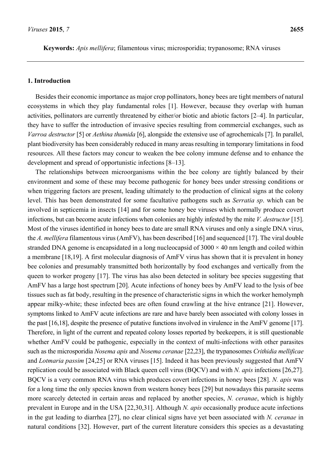**Keywords:** *Apis mellifera*; filamentous virus; microsporidia; trypanosome; RNA viruses

#### **1. Introduction**

Besides their economic importance as major crop pollinators, honey bees are tight members of natural ecosystems in which they play fundamental roles [1]. However, because they overlap with human activities, pollinators are currently threatened by either/or biotic and abiotic factors [2–4]. In particular, they have to suffer the introduction of invasive species resulting from commercial exchanges, such as *Varroa destructor* [5] or *Aethina thumida* [6], alongside the extensive use of agrochemicals [7]. In parallel, plant biodiversity has been considerably reduced in many areas resulting in temporary limitations in food resources. All these factors may concur to weaken the bee colony immune defense and to enhance the development and spread of opportunistic infections [8–13].

The relationships between microorganisms within the bee colony are tightly balanced by their environment and some of these may become pathogenic for honey bees under stressing conditions or when triggering factors are present, leading ultimately to the production of clinical signs at the colony level. This has been demonstrated for some facultative pathogens such as *Serratia sp*. which can be involved in septicemia in insects [14] and for some honey bee viruses which normally produce covert infections, but can become acute infections when colonies are highly infested by the mite *V. destructor* [15]. Most of the viruses identified in honey bees to date are small RNA viruses and only a single DNA virus, the *A. mellifera* filamentous virus (AmFV), has been described [16] and sequenced [17]. The viral double stranded DNA genome is encapsidated in a long nucleocapsid of  $3000 \times 40$  nm length and coiled within a membrane [18,19]. A first molecular diagnosis of AmFV virus has shown that it is prevalent in honey bee colonies and presumably transmitted both horizontally by food exchanges and vertically from the queen to worker progeny [17]. The virus has also been detected in solitary bee species suggesting that AmFV has a large host spectrum [20]. Acute infections of honey bees by AmFV lead to the lysis of bee tissues such as fat body, resulting in the presence of characteristic signs in which the worker hemolymph appear milky-white; these infected bees are often found crawling at the hive entrance [21]. However, symptoms linked to AmFV acute infections are rare and have barely been associated with colony losses in the past [16,18], despite the presence of putative functions involved in virulence in the AmFV genome [17]. Therefore, in light of the current and repeated colony losses reported by beekeepers, it is still questionable whether AmFV could be pathogenic, especially in the context of multi-infections with other parasites such as the microsporidia *Nosema apis* and *Nosema ceranae* [22,23], the trypanosomes *Crithidia mellificae* and *Lotmaria passim* [24,25] or RNA viruses [15]. Indeed it has been previously suggested that AmFV replication could be associated with Black queen cell virus (BQCV) and with *N. apis* infections [26,27]. BQCV is a very common RNA virus which produces covert infections in honey bees [28]. *N. apis* was for a long time the only species known from western honey bees [29] but nowadays this parasite seems more scarcely detected in certain areas and replaced by another species, *N. ceranae*, which is highly prevalent in Europe and in the USA [22,30,31]. Although *N. apis* occasionally produce acute infections in the gut leading to diarrhea [27], no clear clinical signs have yet been associated with *N. ceranae* in natural conditions [32]. However, part of the current literature considers this species as a devastating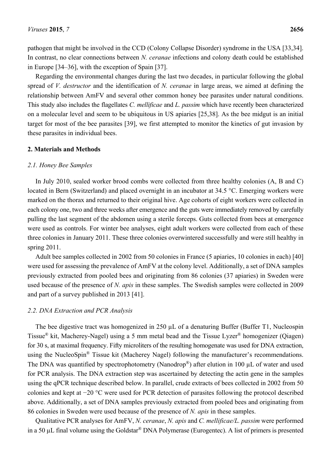pathogen that might be involved in the CCD (Colony Collapse Disorder) syndrome in the USA [33,34]. In contrast, no clear connections between *N. ceranae* infections and colony death could be established in Europe [34–36], with the exception of Spain [37].

Regarding the environmental changes during the last two decades, in particular following the global spread of *V. destructor* and the identification of *N. ceranae* in large areas, we aimed at defining the relationship between AmFV and several other common honey bee parasites under natural conditions. This study also includes the flagellates *C. mellificae* and *L. passim* which have recently been characterized on a molecular level and seem to be ubiquitous in US apiaries [25,38]. As the bee midgut is an initial target for most of the bee parasites [39], we first attempted to monitor the kinetics of gut invasion by these parasites in individual bees.

#### **2. Materials and Methods**

#### *2.1. Honey Bee Samples*

In July 2010, sealed worker brood combs were collected from three healthy colonies (A, B and C) located in Bern (Switzerland) and placed overnight in an incubator at 34.5 °C. Emerging workers were marked on the thorax and returned to their original hive. Age cohorts of eight workers were collected in each colony one, two and three weeks after emergence and the guts were immediately removed by carefully pulling the last segment of the abdomen using a sterile forceps. Guts collected from bees at emergence were used as controls. For winter bee analyses, eight adult workers were collected from each of these three colonies in January 2011. These three colonies overwintered successfully and were still healthy in spring 2011.

Adult bee samples collected in 2002 from 50 colonies in France (5 apiaries, 10 colonies in each) [40] were used for assessing the prevalence of AmFV at the colony level. Additionally, a set of DNA samples previously extracted from pooled bees and originating from 86 colonies (37 apiaries) in Sweden were used because of the presence of *N. apis* in these samples. The Swedish samples were collected in 2009 and part of a survey published in 2013 [41].

#### *2.2. DNA Extraction and PCR Analysis*

The bee digestive tract was homogenized in 250  $\mu$ L of a denaturing Buffer (Buffer T1, Nucleospin Tissue® kit, Macherey-Nagel) using a 5 mm metal bead and the Tissue Lyzer® homogenizer (Qiagen) for 30 s, at maximal frequency. Fifty microliters of the resulting homogenate was used for DNA extraction, using the NucleoSpin<sup>®</sup> Tissue kit (Macherey Nagel) following the manufacturer's recommendations. The DNA was quantified by spectrophotometry (Nanodrop<sup>®</sup>) after elution in 100 µL of water and used for PCR analysis. The DNA extraction step was ascertained by detecting the actin gene in the samples using the qPCR technique described below. In parallel, crude extracts of bees collected in 2002 from 50 colonies and kept at −20 °C were used for PCR detection of parasites following the protocol described above. Additionally, a set of DNA samples previously extracted from pooled bees and originating from 86 colonies in Sweden were used because of the presence of *N. apis* in these samples.

Qualitative PCR analyses for AmFV, *N. ceranae*, *N. apis* and *C. mellificae/L. passim* were performed in a 50 µL final volume using the Goldstar® DNA Polymerase (Eurogentec). A list of primers is presented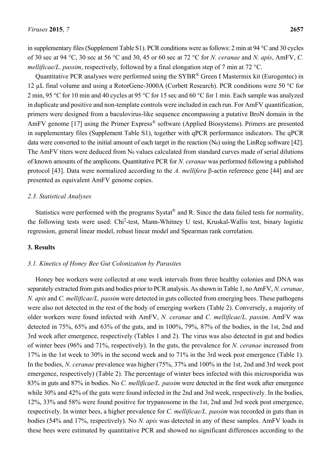in supplementary files (Supplement Table S1). PCR conditions were as follows: 2 min at 94 °C and 30 cycles of 30 sec at 94 °C, 30 sec at 56 °C and 30, 45 or 60 sec at 72 °C for *N. ceranae* and *N. apis*, AmFV, *C. mellificae/L. passim*, respectively, followed by a final elongation step of 7 min at 72 °C.

Quantitative PCR analyses were performed using the SYBR® Green I Mastermix kit (Eurogentec) in 12 µL final volume and using a RotorGene-3000A (Corbett Research). PCR conditions were 50 °C for 2 min, 95 °C for 10 min and 40 cycles at 95 °C for 15 sec and 60 °C for 1 min. Each sample was analyzed in duplicate and positive and non-template controls were included in each run. For AmFV quantification, primers were designed from a baculovirus-like sequence encompassing a putative BroN domain in the AmFV genome [17] using the Primer Express<sup>®</sup> software (Applied Biosystems). Primers are presented in supplementary files (Supplement Table S1), together with qPCR performance indicators. The qPCR data were converted to the initial amount of each target in the reaction  $(N_0)$  using the LinReg software [42]. The AmFV titers were deduced from N<sub>0</sub> values calculated from standard curves made of serial dilutions of known amounts of the amplicons. Quantitative PCR for *N. ceranae* was performed following a published protocol [43]. Data were normalized according to the *A. mellifera* β-actin reference gene [44] and are presented as equivalent AmFV genome copies.

#### *2.3. Statistical Analyses*

Statistics were performed with the programs Systat® and R. Since the data failed tests for normality, the following tests were used: Chi<sup>2</sup>-test, Mann-Whitney U test, Kruskal-Wallis test, binary logistic regression, general linear model, robust linear model and Spearman rank correlation.

#### **3. Results**

#### *3.1. Kinetics of Honey Bee Gut Colonization by Parasites*

Honey bee workers were collected at one week intervals from three healthy colonies and DNA was separately extracted from guts and bodies prior to PCR analysis. As shown in Table 1, no AmFV, *N. ceranae*, *N. apis* and *C. mellificae/L. passim* were detected in guts collected from emerging bees. These pathogens were also not detected in the rest of the body of emerging workers (Table 2). Conversely, a majority of older workers were found infected with AmFV, *N. ceranae* and *C. mellificae/L. passim*. AmFV was detected in 75%, 65% and 63% of the guts, and in 100%, 79%, 87% of the bodies, in the 1st, 2nd and 3rd week after emergence, respectively (Tables 1 and 2). The virus was also detected in gut and bodies of winter bees (96% and 71%, respectively). In the guts, the prevalence for *N. ceranae* increased from 17% in the 1st week to 30% in the second week and to 71% in the 3rd week post emergence (Table 1). In the bodies, *N. ceranae* prevalence was higher (75%, 37% and 100% in the 1st, 2nd and 3rd week post emergence, respectively) (Table 2). The percentage of winter bees infected with this microsporidia was 83% in guts and 87% in bodies. No *C. mellificae/L. passim* were detected in the first week after emergence while 30% and 42% of the guts were found infected in the 2nd and 3rd week, respectively. In the bodies, 12%, 33% and 58% were found positive for trypanosome in the 1st, 2nd and 3rd week post emergence, respectively. In winter bees, a higher prevalence for *C. mellificae/L. passim* was recorded in guts than in bodies (54% and 17%, respectively). No *N. apis* was detected in any of these samples. AmFV loads in these bees were estimated by quantitative PCR and showed no significant differences according to the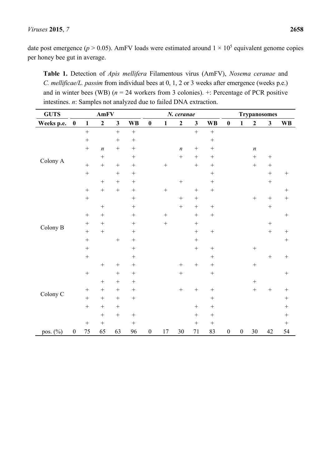#### *Viruses* **2015**, *7* **2658**

date post emergence ( $p > 0.05$ ). AmFV loads were estimated around  $1 \times 10^5$  equivalent genome copies per honey bee gut in average.

**Table 1.** Detection of *Apis mellifera* Filamentous virus (AmFV), *Nosema ceranae* and *C. mellificae/L. passim* from individual bees at 0, 1, 2 or 3 weeks after emergence (weeks p.e.) and in winter bees (WB)  $(n = 24$  workers from 3 colonies).  $\pm$ : Percentage of PCR positive intestines. *n*: Samples not analyzed due to failed DNA extraction.

| <b>GUTS</b>         |                  |                   | AmFV              |              |           |                  |                   | <b>Trypanosomes</b> |                   |                   |                  |                  |                   |                   |                  |
|---------------------|------------------|-------------------|-------------------|--------------|-----------|------------------|-------------------|---------------------|-------------------|-------------------|------------------|------------------|-------------------|-------------------|------------------|
| Weeks p.e.          | $\boldsymbol{0}$ | $\mathbf{1}$      | $\overline{2}$    | $\mathbf{3}$ | <b>WB</b> | $\bf{0}$         | $\mathbf{1}$      | $\mathbf{2}$        | $\mathbf{3}$      | <b>WB</b>         | $\bf{0}$         | $\mathbf{1}$     | $\mathbf{2}$      | $\mathbf{3}$      | <b>WB</b>        |
| Colony A            |                  | $\qquad \qquad +$ |                   | $\ddot{}$    | $^{+}$    |                  |                   |                     | $\qquad \qquad +$ | $\qquad \qquad +$ |                  |                  |                   |                   |                  |
|                     |                  | $\boldsymbol{+}$  |                   | $+$          | $^{+}$    |                  |                   |                     |                   |                   |                  |                  |                   |                   |                  |
|                     |                  | $\! + \!$         | $\boldsymbol{n}$  | $^{+}$       | $^{+}$    |                  |                   | $\boldsymbol{n}$    |                   |                   |                  |                  | $\boldsymbol{n}$  |                   |                  |
|                     |                  |                   |                   |              |           |                  |                   | $\boldsymbol{+}$    | $\! + \!$         | $+$               |                  |                  |                   |                   |                  |
|                     |                  | $\! + \!$         | $^{+}$            | $^{+}$       | $^{+}$    |                  | $^{+}$            |                     | $\! + \!$         |                   |                  |                  | $\qquad \qquad +$ | $^{+}$            |                  |
|                     |                  | $\! + \!$         |                   | $^{+}$       | $^{+}$    |                  |                   |                     |                   |                   |                  |                  |                   | $^{+}$            | $\boldsymbol{+}$ |
|                     |                  |                   |                   |              | $^{+}$    |                  |                   |                     |                   | $\qquad \qquad +$ |                  |                  |                   | $\ddot{}$         |                  |
|                     |                  | $\! + \!$         | $\qquad \qquad +$ | $^{+}$       |           |                  |                   |                     |                   | $\! + \!$         |                  |                  |                   |                   | $+$              |
| Colony B            |                  | $\ddot{}$         |                   |              | $^{+}$    |                  |                   |                     | $\! + \!$         |                   |                  |                  | $^{+}$            | $\qquad \qquad +$ |                  |
|                     |                  |                   |                   |              | $^{+}$    |                  |                   | $\! + \!$           |                   |                   |                  |                  |                   |                   |                  |
|                     |                  | $^{+}$            |                   |              |           |                  | $^{+}$            |                     |                   | $\! + \!$         |                  |                  |                   |                   | $\boldsymbol{+}$ |
|                     |                  | $\! + \!$         |                   |              | $^{+}$    |                  | $\qquad \qquad +$ |                     | $\! + \!$         |                   |                  |                  |                   | $\boldsymbol{+}$  |                  |
|                     |                  |                   | $\qquad \qquad +$ |              |           |                  |                   |                     | $\! + \!$         |                   |                  |                  |                   | $\! + \!$         | $^{+}$           |
|                     |                  | $\! + \!$         |                   | $^{+}$       | $^{+}$    |                  |                   |                     | $\! + \!$         |                   |                  |                  |                   |                   |                  |
|                     |                  |                   |                   |              |           |                  |                   |                     |                   |                   |                  |                  |                   |                   |                  |
|                     |                  | $^{+}$            |                   |              | $^{+}$    |                  |                   |                     |                   |                   |                  |                  |                   | $^{+}$            | $\! + \!$        |
|                     |                  |                   |                   |              |           |                  |                   |                     | $\! + \!$         |                   |                  |                  | $\! + \!$         |                   |                  |
| Colony <sub>C</sub> |                  | $\! + \!$         |                   |              | $^{+}$    |                  |                   |                     |                   |                   |                  |                  |                   |                   | $^{+}$           |
|                     |                  |                   | $^{+}$            |              |           |                  |                   |                     |                   |                   |                  |                  |                   |                   |                  |
|                     |                  |                   |                   |              | $^{+}$    |                  |                   | $^{+}$              | $\! + \!$         | $\! + \!$         |                  |                  | $\ddot{}$         | $\qquad \qquad +$ |                  |
|                     |                  | $^{+}$            |                   | $^{+}$       | $+$       |                  |                   |                     |                   | $\! + \!$         |                  |                  |                   |                   | $^{+}$           |
|                     |                  | $\boldsymbol{+}$  | $+$               |              |           |                  |                   |                     | $^{+}$            |                   |                  |                  |                   |                   | $^{+}$           |
|                     |                  |                   | $\! + \!$         | $^{+}$       | $^{+}$    |                  |                   |                     | $\! + \!$         | $\! + \!$         |                  |                  |                   |                   | $^{+}$           |
|                     |                  | $^{+}$            |                   |              | $^{+}$    |                  |                   |                     |                   |                   |                  |                  |                   |                   | $+$              |
| pos. (%)            | $\boldsymbol{0}$ | 75                | 65                | 63           | 96        | $\boldsymbol{0}$ | 17                | 30                  | 71                | 83                | $\boldsymbol{0}$ | $\boldsymbol{0}$ | $30\,$            | 42                | 54               |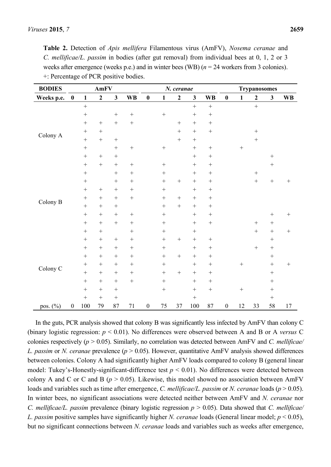**Table 2.** Detection of *Apis mellifera* Filamentous virus (AmFV), *Nosema ceranae* and *C. mellificae/L. passim* in bodies (after gut removal) from individual bees at 0, 1, 2 or 3 weeks after emergence (weeks p.e.) and in winter bees (WB) (*n* = 24 workers from 3 colonies). +: Percentage of PCR positive bodies.

| <b>BODIES</b>       | AmFV             |                   |                |                   |                  |                  |                  | N. ceranae        |                   |           | <b>Trypanosomes</b> |                   |                  |              |                  |  |
|---------------------|------------------|-------------------|----------------|-------------------|------------------|------------------|------------------|-------------------|-------------------|-----------|---------------------|-------------------|------------------|--------------|------------------|--|
| Weeks p.e.          | $\pmb{0}$        | $\mathbf{1}$      | $\overline{2}$ | $\mathbf{3}$      | <b>WB</b>        | $\boldsymbol{0}$ | $\mathbf{1}$     | $\boldsymbol{2}$  | $\mathbf{3}$      | <b>WB</b> | $\pmb{0}$           | $\mathbf{1}$      | $\boldsymbol{2}$ | $\mathbf{3}$ | <b>WB</b>        |  |
| Colony A            |                  | $\qquad \qquad +$ |                |                   |                  |                  |                  |                   | $\ddot{}$         | $^{+}$    |                     |                   | $\ddot{}$        |              |                  |  |
|                     |                  |                   |                | $\boldsymbol{+}$  | $\boldsymbol{+}$ |                  | $\! + \!$        |                   | $\qquad \qquad +$ |           |                     |                   |                  |              |                  |  |
|                     |                  | $^{+}$            |                | $\qquad \qquad +$ |                  |                  |                  | $^{+}$            |                   | $^{+}$    |                     |                   |                  |              |                  |  |
|                     |                  |                   |                |                   |                  |                  |                  | $\qquad \qquad +$ |                   | $+$       |                     |                   | $\! + \!$        |              |                  |  |
|                     |                  | $\! + \!$         | $^{+}$         | $\boldsymbol{+}$  |                  |                  |                  | $\qquad \qquad +$ | $^{+}$            |           |                     |                   | $\! + \!$        |              |                  |  |
|                     |                  |                   |                |                   |                  |                  |                  |                   | $\qquad \qquad +$ | $^{+}$    |                     | $\qquad \qquad +$ |                  |              |                  |  |
|                     |                  | $^{+}$            | $^{+}$         |                   |                  |                  |                  |                   |                   | $^{+}$    |                     |                   |                  | $\! + \!$    |                  |  |
|                     |                  | $^{+}$            | $\! + \!$      | $\boldsymbol{+}$  |                  |                  |                  |                   | $^{+}$            | $^{+}$    |                     |                   |                  | $\! + \!$    |                  |  |
| Colony B            |                  | $+$               |                | $\! + \!$         | $^{+}$           |                  |                  |                   |                   | $^{+}$    |                     |                   | $\! + \!$        |              |                  |  |
|                     |                  | $+$               |                |                   | $^{+}$           |                  | $\boldsymbol{+}$ | $^{+}$            |                   |           |                     |                   | $+$              | $\! + \!$    |                  |  |
|                     |                  | $^{+}$            | $^{+}$         | $\! + \!$         | $^{+}$           |                  |                  |                   | $^{+}$            | $^{+}$    |                     |                   |                  |              |                  |  |
|                     |                  |                   | $^{+}$         |                   |                  |                  | $^{+}$           |                   | $\qquad \qquad +$ | $^{+}$    |                     |                   |                  |              |                  |  |
|                     |                  | $+$               | $^{+}$         |                   |                  |                  | $\boldsymbol{+}$ |                   |                   |           |                     |                   |                  |              |                  |  |
|                     |                  | $^{+}$            |                |                   |                  |                  | $^{+}$           |                   | $+$               | $^{+}$    |                     |                   |                  |              | $\boldsymbol{+}$ |  |
|                     |                  | $^{+}$            | $\! + \!$      | $\! + \!$         | $^{+}$           |                  | $\! + \!$        |                   | $+$               |           |                     |                   |                  | $\! + \!$    |                  |  |
|                     |                  |                   |                |                   |                  |                  | $^{+}$           |                   | $^{+}$            |           |                     |                   | $\ddot{}$        | $\! + \!$    | $\boldsymbol{+}$ |  |
| Colony <sub>C</sub> |                  | $^{+}$            | $^{+}$         | $^{+}$            | $^{+}$           |                  | $^{+}$           |                   |                   |           |                     |                   |                  |              |                  |  |
|                     |                  | $^{+}$            | $^{+}$         |                   | $^{+}$           |                  | $\boldsymbol{+}$ |                   | $^{+}$            |           |                     |                   |                  | $\! + \!$    |                  |  |
|                     |                  | $^{+}$            | $^{+}$         | $\! + \!$         |                  |                  | $\! + \!$        | $\boldsymbol{+}$  | $^{+}$            | $^{+}$    |                     |                   |                  | $\! + \!$    |                  |  |
|                     |                  |                   | $^{+}$         | $\! + \!$         | $^{+}$           |                  | $\! + \!$        |                   | $^{+}$            | $^{+}$    |                     | $\boldsymbol{+}$  |                  | $\! + \!$    | $\! + \!$        |  |
|                     |                  | $+$               | $+$            |                   |                  |                  | $\boldsymbol{+}$ |                   |                   |           |                     |                   |                  |              |                  |  |
|                     |                  |                   | $^{+}$         | $\boldsymbol{+}$  |                  |                  | $\! + \!$        |                   | $^{+}$            | $^{+}$    |                     |                   |                  |              |                  |  |
|                     |                  | $^{+}$            | $^{+}$         |                   |                  |                  | $\boldsymbol{+}$ |                   | $\boldsymbol{+}$  | $+$       |                     |                   |                  |              |                  |  |
|                     |                  | $+$               | $^{+}$         | $+$               |                  |                  |                  |                   | $\boldsymbol{+}$  |           |                     |                   |                  | $\! + \!$    |                  |  |
| pos. (%)            | $\boldsymbol{0}$ | 100               | 79             | 87                | 71               | $\boldsymbol{0}$ | 75               | 37                | 100               | 87        | $\boldsymbol{0}$    | 12                | 33               | 58           | 17               |  |

In the guts, PCR analysis showed that colony B was significantly less infected by AmFV than colony C (binary logistic regression: *p* < 0.01). No differences were observed between A and B or A *versus* C colonies respectively (*p* > 0.05). Similarly, no correlation was detected between AmFV and *C. mellificae/ L. passim* or *N. ceranae* prevalence (*p* > 0.05). However, quantitative AmFV analysis showed differences between colonies. Colony A had significantly higher AmFV loads compared to colony B (general linear model: Tukey's-Honestly-significant-difference test *p* < 0.01). No differences were detected between colony A and C or C and B (*p* > 0.05). Likewise, this model showed no association between AmFV loads and variables such as time after emergence, *C. mellificae/L. passim* or *N. ceranae* loads (*p* > 0.05). In winter bees, no significant associations were detected neither between AmFV and *N. ceranae* nor *C. mellificae/L. passim* prevalence (binary logistic regression *p* > 0.05). Data showed that *C. mellificae/ L. passim* positive samples have significantly higher *N. ceranae* loads (General linear model; *p* < 0.05), but no significant connections between *N. ceranae* loads and variables such as weeks after emergence,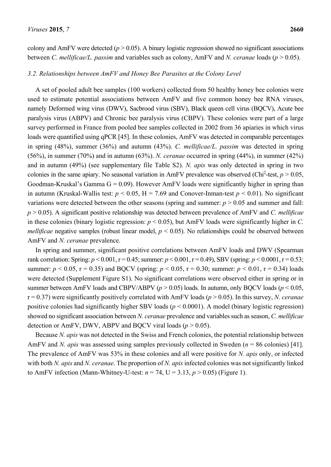colony and AmFV were detected  $(p > 0.05)$ . A binary logistic regression showed no significant associations between *C. mellificae/L. passim* and variables such as colony, AmFV and *N. ceranae* loads (*p* > 0.05).

#### *3.2. Relationships between AmFV and Honey Bee Parasites at the Colony Level*

A set of pooled adult bee samples (100 workers) collected from 50 healthy honey bee colonies were used to estimate potential associations between AmFV and five common honey bee RNA viruses, namely Deformed wing virus (DWV), Sacbrood virus (SBV), Black queen cell virus (BQCV), Acute bee paralysis virus (ABPV) and Chronic bee paralysis virus (CBPV). These colonies were part of a large survey performed in France from pooled bee samples collected in 2002 from 36 apiaries in which virus loads were quantified using qPCR [45]. In these colonies, AmFV was detected in comparable percentages in spring (48%), summer (36%) and autumn (43%). *C. mellificae/L. passim* was detected in spring (56%), in summer (70%) and in autumn (63%). *N. ceranae* occurred in spring (44%), in summer (42%) and in autumn (49%) (see supplementary file Table S2). *N. apis* was only detected in spring in two colonies in the same apiary. No seasonal variation in AmFV prevalence was observed (Chi<sup>2</sup>-test,  $p > 0.05$ , Goodman-Kruskal's Gamma  $G = 0.09$ ). However AmFV loads were significantly higher in spring than in autumn (Kruskal-Wallis test:  $p < 0.05$ , H = 7.69 and Conover-Inman-test  $p < 0.01$ ). No significant variations were detected between the other seasons (spring and summer: *p* > 0.05 and summer and fall: *p* > 0.05). A significant positive relationship was detected between prevalence of AmFV and *C. mellificae* in these colonies (binary logistic regression: *p* < 0.05), but AmFV loads were significantly higher in *C. mellificae* negative samples (robust linear model,  $p < 0.05$ ). No relationships could be observed between AmFV and *N. ceranae* prevalence.

In spring and summer, significant positive correlations between AmFV loads and DWV (Spearman rank correlation: Spring:  $p < 0.001$ ,  $r = 0.45$ ; summer:  $p < 0.001$ ,  $r = 0.49$ ), SBV (spring:  $p < 0.0001$ ,  $r = 0.53$ ; summer:  $p < 0.05$ ,  $r = 0.35$ ) and BQCV (spring:  $p < 0.05$ ,  $r = 0.30$ ; summer:  $p < 0.01$ ,  $r = 0.34$ ) loads were detected (Supplement Figure S1). No significant correlations were observed either in spring or in summer between AmFV loads and CBPV/ABPV  $(p > 0.05)$  loads. In autumn, only BQCV loads  $(p < 0.05)$ , r = 0.37) were significantly positively correlated with AmFV loads (*p* > 0.05). In this survey, *N. ceranae* positive colonies had significantly higher SBV loads (*p* < 0.0001). A model (binary logistic regression) showed no significant association between *N. ceranae* prevalence and variables such as season, *C. mellificae*  detection or AmFV, DWV, ABPV and BOCV viral loads ( $p > 0.05$ ).

Because *N. apis* was not detected in the Swiss and French colonies, the potential relationship between AmFV and *N. apis* was assessed using samples previously collected in Sweden (*n* = 86 colonies) [41]. The prevalence of AmFV was 53% in these colonies and all were positive for *N. apis* only, or infected with both *N. apis* and *N. ceranae*. The proportion of *N. apis* infected colonies was not significantly linked to AmFV infection (Mann-Whitney-U-test:  $n = 74$ , U = 3.13,  $p > 0.05$ ) (Figure 1).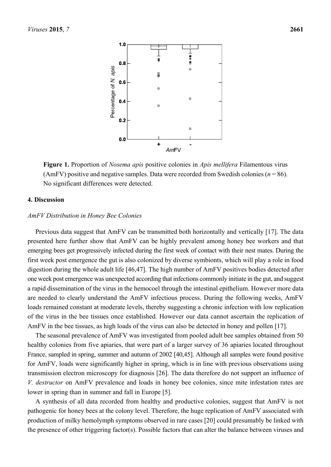

**Figure 1.** Proportion of *Nosema apis* positive colonies in *Apis mellifera* Filamentous virus (AmFV) positive and negative samples. Data were recorded from Swedish colonies (*n* = 86). No significant differences were detected.

#### **4. Discussion**

#### *AmFV Distribution in Honey Bee Colonies*

Previous data suggest that AmFV can be transmitted both horizontally and vertically [17]. The data presented here further show that AmFV can be highly prevalent among honey bee workers and that emerging bees get progressively infected during the first week of contact with their nest mates. During the first week post emergence the gut is also colonized by diverse symbionts, which will play a role in food digestion during the whole adult life [46,47]. The high number of AmFV positives bodies detected after one week post emergence was unexpected according that infections commonly initiate in the gut, and suggest a rapid dissemination of the virus in the hemocoel through the intestinal epithelium. However more data are needed to clearly understand the AmFV infectious process. During the following weeks, AmFV loads remained constant at moderate levels, thereby suggesting a chronic infection with low replication of the virus in the bee tissues once established. However our data cannot ascertain the replication of AmFV in the bee tissues, as high loads of the virus can also be detected in honey and pollen [17].

The seasonal prevalence of AmFV was investigated from pooled adult bee samples obtained from 50 healthy colonies from five apiaries, that were part of a larger survey of 36 apiaries located throughout France, sampled in spring, summer and autumn of 2002 [40,45]. Although all samples were found positive for AmFV, loads were significantly higher in spring, which is in line with previous observations using transmission electron microscopy for diagnosis [26]. The data therefore do not support an influence of *V. destructor* on AmFV prevalence and loads in honey bee colonies, since mite infestation rates are lower in spring than in summer and fall in Europe [5].

A synthesis of all data recorded from healthy and productive colonies, suggest that AmFV is not pathogenic for honey bees at the colony level. Therefore, the huge replication of AmFV associated with production of milky hemolymph symptoms observed in rare cases [20] could presumably be linked with the presence of other triggering factor(s). Possible factors that can alter the balance between viruses and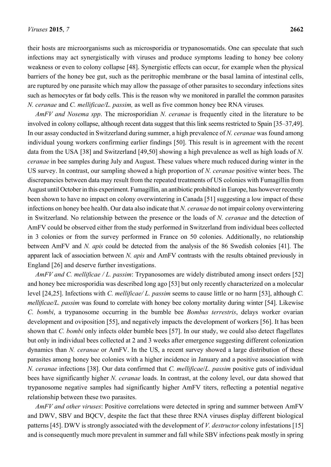their hosts are microorganisms such as microsporidia or trypanosomatids. One can speculate that such infections may act synergistically with viruses and produce symptoms leading to honey bee colony weakness or even to colony collapse [48]. Synergistic effects can occur, for example when the physical barriers of the honey bee gut, such as the peritrophic membrane or the basal lamina of intestinal cells, are ruptured by one parasite which may allow the passage of other parasites to secondary infections sites such as hemocytes or fat body cells. This is the reason why we monitored in parallel the common parasites *N. ceranae* and *C. mellificae/L. passim,* as well as five common honey bee RNA viruses*.*

*AmFV and Nosema spp*. The microsporidian *N. ceranae* is frequently cited in the literature to be involved in colony collapse, although recent data suggest that this link seems restricted to Spain [35–37,49]. In our assay conducted in Switzerland during summer, a high prevalence of *N. ceranae* was found among individual young workers confirming earlier findings [50]. This result is in agreement with the recent data from the USA [38] and Switzerland [49,50] showing a high prevalence as well as high loads of *N. ceranae* in bee samples during July and August. These values where much reduced during winter in the US survey. In contrast, our sampling showed a high proportion of *N. ceranae* positive winter bees. The discrepancies between data may result from the repeated treatments of US colonies with Fumagillin from August until October in this experiment. Fumagillin, an antibiotic prohibited in Europe, has however recently been shown to have no impact on colony overwintering in Canada [51] suggesting a low impact of these infections on honey bee health. Our data also indicate that *N. ceranae* do not impair colony overwintering in Switzerland. No relationship between the presence or the loads of *N. ceranae* and the detection of AmFV could be observed either from the study performed in Switzerland from individual bees collected in 3 colonies or from the survey performed in France on 50 colonies. Additionally, no relationship between AmFV and *N. apis* could be detected from the analysis of the 86 Swedish colonies [41]. The apparent lack of association between *N. apis* and AmFV contrasts with the results obtained previously in England [26] and deserve further investigations.

*AmFV and C. mellificae / L. passim*: Trypanosomes are widely distributed among insect orders [52] and honey bee microsporidia was described long ago [53] but only recently characterized on a molecular level [24,25]. Infections with *C. mellificae/ L. passim* seems to cause little or no harm [53], although *C. mellificae/L. passim* was found to correlate with honey bee colony mortality during winter [54]. Likewise *C. bombi*, a trypanosome occurring in the bumble bee *Bombus terrestris*, delays worker ovarian development and oviposition [55], and negatively impacts the development of workers [56]. It has been shown that *C. bombi* only infects older bumble bees [57]. In our study, we could also detect flagellates but only in individual bees collected at 2 and 3 weeks after emergence suggesting different colonization dynamics than *N. ceranae* or AmFV. In the US, a recent survey showed a large distribution of these parasites among honey bee colonies with a higher incidence in January and a positive association with *N. ceranae* infections [38]. Our data confirmed that *C. mellificae*/*L. passim* positive guts of individual bees have significantly higher *N. ceranae* loads. In contrast, at the colony level, our data showed that trypanosome negative samples had significantly higher AmFV titers, reflecting a potential negative relationship between these two parasites.

*AmFV and other viruses*: Positive correlations were detected in spring and summer between AmFV and DWV, SBV and BOCV, despite the fact that these three RNA viruses display different biological patterns [45]. DWV is strongly associated with the development of *V. destructor* colony infestations [15] and is consequently much more prevalent in summer and fall while SBV infections peak mostly in spring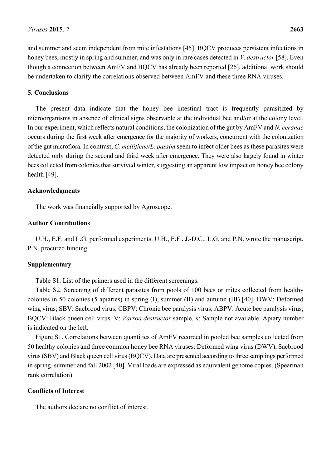and summer and seem independent from mite infestations [45]. BQCV produces persistent infections in honey bees, mostly in spring and summer, and was only in rare cases detected in *V. destructor* [58]. Even though a connection between AmFV and BQCV has already been reported [26], additional work should be undertaken to clarify the correlations observed between AmFV and these three RNA viruses.

## **5. Conclusions**

The present data indicate that the honey bee intestinal tract is frequently parasitized by microorganisms in absence of clinical signs observable at the individual bee and/or at the colony level. In our experiment, which reflects natural conditions, the colonization of the gut by AmFV and *N. ceranae* occurs during the first week after emergence for the majority of workers, concurrent with the colonization of the gut microflora. In contrast, *C. mellificae/L. passim* seem to infect older bees as these parasites were detected only during the second and third week after emergence. They were also largely found in winter bees collected from colonies that survived winter, suggesting an apparent low impact on honey bee colony health [49].

## **Acknowledgments**

The work was financially supported by Agroscope.

### **Author Contributions**

U.H., E.F. and L.G. performed experiments. U.H., E.F., J.-D.C., L.G. and P.N. wrote the manuscript. P.N. procured funding.

## **Supplementary**

Table S1. List of the primers used in the different screenings.

Table S2. Screening of different parasites from pools of 100 bees or mites collected from healthy colonies in 50 colonies (5 apiaries) in spring (I), summer (II) and autumn (III) [40]. DWV: Deformed wing virus; SBV: Sacbrood virus; CBPV: Chronic bee paralysis virus; ABPV: Acute bee paralysis virus; BQCV: Black queen cell virus. V: *Varroa destructor* sample. *n*: Sample not available. Apiary number is indicated on the left.

Figure S1. Correlations between quantities of AmFV recorded in pooled bee samples collected from 50 healthy colonies and three common honey bee RNA viruses: Deformed wing virus (DWV), Sacbrood virus (SBV) and Black queen cell virus (BQCV). Data are presented according to three samplings performed in spring, summer and fall 2002 [40]. Viral loads are expressed as equivalent genome copies. (Spearman rank correlation)

## **Conflicts of Interest**

The authors declare no conflict of interest.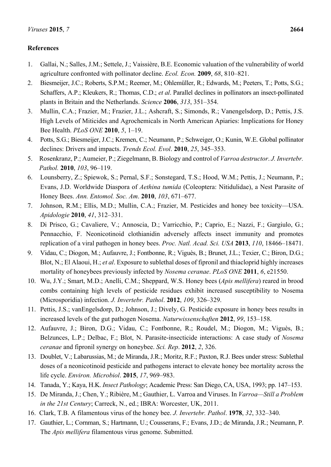## **References**

- 1. Gallai, N.; Salles, J.M.; Settele, J.; Vaissière, B.E. Economic valuation of the vulnerability of world agriculture confronted with pollinator decline. *Ecol. Econ.* **2009**, *68*, 810–821.
- 2. Biesmeijer, J.C.; Roberts, S.P.M.; Reemer, M.; Ohlemüller, R.; Edwards, M.; Peeters, T.; Potts, S.G.; Schaffers, A.P.; Kleukers, R.; Thomas, C.D.; *et al*. Parallel declines in pollinators an insect-pollinated plants in Britain and the Netherlands. *Science* **2006**, *313*, 351–354.
- 3. Mullin, C.A.; Frazier, M.; Frazier, J.L.; Ashcraft, S.; Simonds, R.; Vanengelsdorp, D.; Pettis, J.S. High Levels of Miticides and Agrochemicals in North American Apiaries: Implications for Honey Bee Health. *PLoS ONE* **2010**, *5*, 1–19.
- 4. Potts, S.G.; Biesmeijer, J.C.; Kremen, C.; Neumann, P.; Schweiger, O.; Kunin, W.E. Global pollinator declines: Drivers and impacts. *Trends Ecol. Evol*. **2010**, *25*, 345–353.
- 5. Rosenkranz, P.; Aumeier, P.; Ziegelmann, B. Biology and control of *Varroa destructor*. *J. Invertebr. Pathol.* **2010**, *103*, 96–119.
- 6. Lounsberry, Z.; Spiewok, S.; Pernal, S.F.; Sonstegard, T.S.; Hood, W.M.; Pettis, J.; Neumann, P.; Evans, J.D. Worldwide Diaspora of *Aethina tumida* (Coleoptera: Nitidulidae), a Nest Parasite of Honey Bees. *Ann. Entomol. Soc. Am*. **2010**, *103*, 671–677.
- 7. Johnson, R.M.; Ellis, M.D.; Mullin, C.A.; Frazier, M. Pesticides and honey bee toxicity—USA. *Apidologie* **2010**, *41*, 312–331.
- 8. Di Prisco, G.; Cavaliere, V.; Annoscia, D.; Varricchio, P.; Caprio, E.; Nazzi, F.; Gargiulo, G.; Pennacchio, F. Neonicotinoid clothianidin adversely affects insect immunity and promotes replication of a viral pathogen in honey bees. *Proc. Natl. Acad. Sci. USA* **2013**, *110*, 18466–18471.
- 9. Vidau, C.; Diogon, M.; Aufauvre, J.; Fontbonne, R.; Viguès, B.; Brunet, J.L.; Texier, C.; Biron, D.G.; Blot, N.; El Alaoui, H.; *et al*. Exposure to sublethal doses of fipronil and thiacloprid highly increases mortality of honeybees previously infected by *Nosema ceranae*. *PLoS ONE* **2011**, *6*, e21550.
- 10. Wu, J.Y.; Smart, M.D.; Anelli, C.M.; Sheppard, W.S. Honey bees (*Apis mellifera*) reared in brood combs containing high levels of pesticide residues exhibit increased susceptibility to Nosema (Microsporidia) infection. *J. Invertebr. Pathol*. **2012**, *109*, 326–329.
- 11. Pettis, J.S.; vanEngelsdorp, D.; Johnson, J.; Dively, G. Pesticide exposure in honey bees results in increased levels of the gut pathogen Nosema. *Naturwissenschaften* **2012**, *99*, 153–158.
- 12. Aufauvre, J.; Biron, D.G.; Vidau, C.; Fontbonne, R.; Roudel, M.; Diogon, M.; Viguès, B.; Belzunces, L.P.; Delbac, F.; Blot, N. Parasite-insecticide interactions: A case study of *Nosema ceranae* and fipronil synergy on honeybee. *Sci. Rep*. **2012**, *2*, 326.
- 13. Doublet, V.; Labarussias, M.; de Miranda, J.R.; Moritz, R.F.; Paxton, R.J. Bees under stress: Sublethal doses of a neonicotinoid pesticide and pathogens interact to elevate honey bee mortality across the life cycle. *Environ. Microbiol*. **2015**, *17*, 969–983.
- 14. Tanada, Y.; Kaya, H.K. *Insect Pathology*; Academic Press: San Diego, CA, USA, 1993; pp. 147–153.
- 15. De Miranda, J.; Chen, Y.; Ribière, M.; Gauthier, L. Varroa and Viruses. In *Varroa—Still a Problem in the 21st Century*; Carreck, N., ed.; IBRA: Worcester, UK, 2011.
- 16. Clark, T.B. A filamentous virus of the honey bee. *J. Invertebr. Pathol*. **1978**, *32*, 332–340.
- 17. Gauthier, L.; Cornman, S.; Hartmann, U.; Cousserans, F.; Evans, J.D.; de Miranda, J.R.; Neumann, P. The *Apis mellifera* filamentous virus genome. Submitted.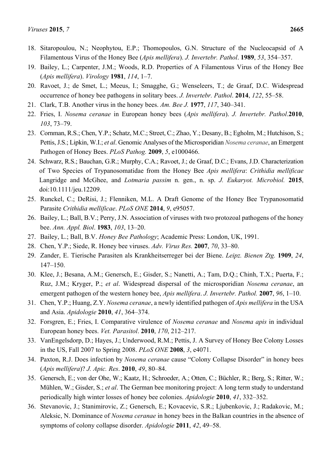- 18. Sitaropoulou, N.; Neophytou, E.P.; Thomopoulos, G.N. Structure of the Nucleocapsid of A Filamentous Virus of the Honey Bee (*Apis mellifera*). *J. Invertebr. Pathol*. **1989**, *53*, 354–357.
- 19. Bailey, L.; Carpenter, J.M.; Woods, R.D. Properties of A Filamentous Virus of the Honey Bee (*Apis mellifera*). *Virology* **1981**, *114*, 1–7.
- 20. Ravoet, J.; de Smet, L.; Meeus, I.; Smagghe, G.; Wenseleers, T.; de Graaf, D.C. Widespread occurrence of honey bee pathogens in solitary bees. *J. Invertebr. Pathol*. **2014**, *122*, 55–58.
- 21. Clark, T.B. Another virus in the honey bees. *Am. Bee J.* **1977**, *117*, 340–341.
- 22. Fries, I. *Nosema ceranae* in European honey bees (*Apis mellifera*). *J. Invertebr. Pathol*.**2010**, *103*, 73–79.
- 23. Cornman, R.S.; Chen, Y.P.; Schatz, M.C.; Street, C.; Zhao, Y.; Desany, B.; Egholm, M.; Hutchison, S.; Pettis, J.S.; Lipkin, W.I.; *et al*. Genomic Analyses of the Microsporidian *Nosema ceranae*, an Emergent Pathogen of Honey Bees. *PLoS Pathog.* **2009**, *5*, e1000466.
- 24. Schwarz, R.S.; Bauchan, G.R.; Murphy, C.A.; Ravoet, J.; de Graaf, D.C.; Evans, J.D. Characterization of Two Species of Trypanosomatidae from the Honey Bee *Apis mellifera*: *Crithidia mellificae* Langridge and McGhee, and *Lotmaria passim* n. gen., n. sp. *J. Eukaryot. Microbiol.* **2015**, doi:10.1111/jeu.12209.
- 25. Runckel, C.; DeRisi, J.; Flenniken, M.L. A Draft Genome of the Honey Bee Trypanosomatid Parasite *Crithidia mellificae*. *PLoS ONE* **2014**, *9*, e95057.
- 26. Bailey, L.; Ball, B.V.; Perry, J.N. Association of viruses with two protozoal pathogens of the honey bee. *Ann. Appl. Biol*. **1983**, *103*, 13–20.
- 27. Bailey, L.; Ball, B.V. *Honey Bee Pathology*; Academic Press: London, UK, 1991.
- 28. Chen, Y.P.; Siede, R. Honey bee viruses. *Adv. Virus Res.* **2007**, *70*, 33–80.
- 29. Zander, E. Tierische Parasiten als Krankheitserreger bei der Biene. *Leipz. Bienen Ztg.* **1909**, *24*, 147–150.
- 30. Klee, J.; Besana, A.M.; Genersch, E.; Gisder, S.; Nanetti, A.; Tam, D.Q.; Chinh, T.X.; Puerta, F.; Ruz, J.M.; Kryger, P.; *et al*. Widespread dispersal of the microsporidian *Nosema ceranae*, an emergent pathogen of the western honey bee, *Apis mellifera*. *J. Invertebr. Pathol.* **2007**, *96*, 1–10.
- 31. Chen, Y.P.; Huang, Z.Y. *Nosema ceranae*, a newly identified pathogen of *Apis mellifera* in the USA and Asia. *Apidologie* **2010**, *41*, 364–374.
- 32. Forsgren, E.; Fries, I. Comparative virulence of *Nosema ceranae* and *Nosema apis* in individual European honey bees. *Vet. Parasitol*. **2010**, *170*, 212–217.
- 33. VanEngelsdorp, D.; Hayes, J.; Underwood, R.M.; Pettis, J. A Survey of Honey Bee Colony Losses in the US, Fall 2007 to Spring 2008. *PLoS ONE* **2008**, *3*, e4071.
- 34. Paxton, R.J. Does infection by *Nosema ceranae* cause "Colony Collapse Disorder" in honey bees (*Apis mellifera*)? *J. Apic. Res*. **2010**, *49*, 80–84.
- 35. Genersch, E.; von der Ohe, W.; Kaatz, H.; Schroeder, A.; Otten, C.; Büchler, R.; Berg, S.; Ritter, W.; Mühlen, W.; Gisder, S.; *et al*. The German bee monitoring project: A long term study to understand periodically high winter losses of honey bee colonies. *Apidologie* **2010**, *41*, 332–352.
- 36. Stevanovic, J.; Stanimirovic, Z.; Genersch, E.; Kovacevic, S.R.; Ljubenkovic, J.; Radakovic, M.; Aleksic, N. Dominance of *Nosema ceranae* in honey bees in the Balkan countries in the absence of symptoms of colony collapse disorder. *Apidologie* **2011**, *42*, 49–58.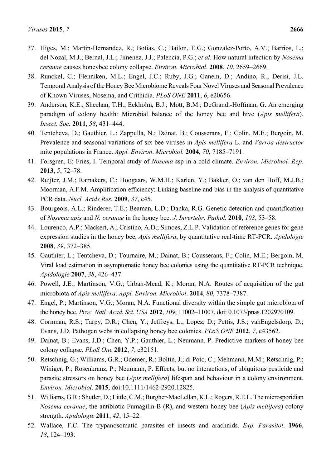- 37. Higes, M.; Martin-Hernandez, R.; Botias, C.; Bailon, E.G.; Gonzalez-Porto, A.V.; Barrios, L.; del Nozal, M.J.; Bernal, J.L.; Jimenez, J.J.; Palencia, P.G.; *et al*. How natural infection by *Nosema ceranae* causes honeybee colony collapse. *Environ. Microbiol*. **2008**, *10*, 2659–2669.
- 38. Runckel, C.; Flenniken, M.L.; Engel, J.C.; Ruby, J.G.; Ganem, D.; Andino, R.; Derisi, J.L. Temporal Analysis of the Honey Bee Microbiome Reveals Four Novel Viruses and Seasonal Prevalence of Known Viruses, Nosema, and Crithidia. *PLoS ONE* **2011**, *6*, e20656.
- 39. Anderson, K.E.; Sheehan, T.H.; Eckholm, B.J.; Mott, B.M.; DeGrandi-Hoffman, G. An emerging paradigm of colony health: Microbial balance of the honey bee and hive (*Apis mellifera*). *Insect. Soc.* **2011**, *58*, 431–444.
- 40. Tentcheva, D.; Gauthier, L.; Zappulla, N.; Dainat, B.; Cousserans, F.; Colin, M.E.; Bergoin, M. Prevalence and seasonal variations of six bee viruses in *Apis mellifera* L. and *Varroa destructor* mite populations in France. *Appl. Environ*. *Microbiol.* **2004**, *70*, 7185–7191.
- 41. Forsgren, E; Fries, I. Temporal study of *Nosema* ssp in a cold climate. *Environ. Microbiol. Rep.* **2013**, *5*, 72–78.
- 42. Ruijter, J.M.; Ramakers, C.; Hoogaars, W.M.H.; Karlen, Y.; Bakker, O.; van den Hoff, M.J.B.; Moorman, A.F.M. Amplification efficiency: Linking baseline and bias in the analysis of quantitative PCR data. *Nucl. Acids Res.* **2009**, *37*, e45.
- 43. Bourgeois, A.L.; Rinderer, T.E.; Beaman, L.D.; Danka, R.G. Genetic detection and quantification of *Nosema apis* and *N. ceranae* in the honey bee. *J. Invertebr. Pathol.* **2010**, *103*, 53–58.
- 44. Lourenco, A.P.; Mackert, A.; Cristino, A.D.; Simoes, Z.L.P. Validation of reference genes for gene expression studies in the honey bee, *Apis mellifera*, by quantitative real-time RT-PCR. *Apidologie* **2008**, *39*, 372–385.
- 45. Gauthier, L.; Tentcheva, D.; Tournaire, M.; Dainat, B.; Cousserans, F.; Colin, M.E.; Bergoin, M. Viral load estimation in asymptomatic honey bee colonies using the quantitative RT-PCR technique. *Apidologie* **2007**, *38*, 426–437.
- 46. Powell, J.E.; Martinson, V.G.; Urban-Mead, K.; Moran, N.A. Routes of acquisition of the gut microbiota of *Apis mellifera*. *Appl. Environ. Microbiol*. **2014**, *80*, 7378–7387.
- 47. Engel, P.; Martinson, V.G.; Moran, N.A. Functional diversity within the simple gut microbiota of the honey bee. *Proc. Natl. Acad. Sci. USA* **2012**, *109*, 11002–11007, doi: 0.1073/pnas.1202970109.
- 48. Cornman, R.S.; Tarpy, D.R.; Chen, Y.; Jeffreys, L.; Lopez, D.; Pettis, J.S.; vanEngelsdorp, D.; Evans, J.D. Pathogen webs in collapsing honey bee colonies. *PLoS ONE* **2012**, *7*, e43562.
- 49. Dainat, B.; Evans, J.D.; Chen, Y.P.; Gauthier, L.; Neumann, P. Predictive markers of honey bee colony collapse. *PLoS One* **2012**, *7*, e32151.
- 50. Retschnig, G.; Williams, G.R.; Odemer, R.; Boltin, J.; di Poto, C.; Mehmann, M.M.; Retschnig, P.; Winiger, P.; Rosenkranz, P.; Neumann, P. Effects, but no interactions, of ubiquitous pesticide and parasite stressors on honey bee (*Apis mellifera*) lifespan and behaviour in a colony environment. *Environ. Microbiol*. **2015**, doi:10.1111/1462-2920.12825.
- 51. Williams, G.R.; Shutler, D.; Little, C.M.; Burgher-MacLellan, K.L.; Rogers, R.E.L. The microsporidian *Nosema ceranae*, the antibiotic Fumagilin-B (R), and western honey bee (*Apis mellifera*) colony strength. *Apidologie* **2011**, *42*, 15–22.
- 52. Wallace, F.C. The trypanosomatid parasites of insects and arachnids. *Exp. Parasitol*. **1966**, *18*, 124–193.